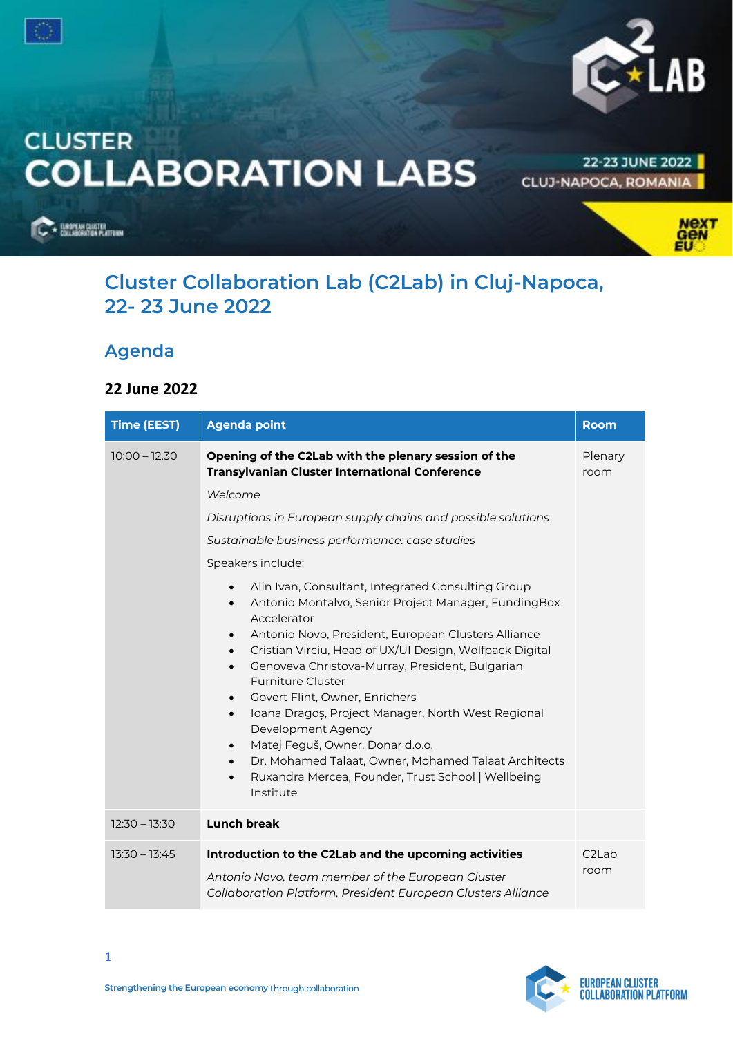



# **CLUSTER COLLABORATION LABS**

22-23 JUNE 2022 **CLUJ-NAPOCA, ROMANIA** 

**ELECTRICIAN CLUSTER** 



## **Cluster Collaboration Lab (C2Lab) in Cluj-Napoca, 22- 23 June 2022**

## **Agenda**

#### **22 June 2022**

| <b>Time (EEST)</b> | <b>Agenda point</b>                                                                                                                                                                                                                                                                                                                                                                                                                                                                                                                                                                                                                                                                                                                       | <b>Room</b>     |
|--------------------|-------------------------------------------------------------------------------------------------------------------------------------------------------------------------------------------------------------------------------------------------------------------------------------------------------------------------------------------------------------------------------------------------------------------------------------------------------------------------------------------------------------------------------------------------------------------------------------------------------------------------------------------------------------------------------------------------------------------------------------------|-----------------|
| $10:00 - 12.30$    | Opening of the C2Lab with the plenary session of the<br><b>Transylvanian Cluster International Conference</b>                                                                                                                                                                                                                                                                                                                                                                                                                                                                                                                                                                                                                             | Plenary<br>room |
|                    | Welcome                                                                                                                                                                                                                                                                                                                                                                                                                                                                                                                                                                                                                                                                                                                                   |                 |
|                    | Disruptions in European supply chains and possible solutions                                                                                                                                                                                                                                                                                                                                                                                                                                                                                                                                                                                                                                                                              |                 |
|                    | Sustainable business performance: case studies                                                                                                                                                                                                                                                                                                                                                                                                                                                                                                                                                                                                                                                                                            |                 |
|                    | Speakers include:                                                                                                                                                                                                                                                                                                                                                                                                                                                                                                                                                                                                                                                                                                                         |                 |
|                    | Alin Ivan, Consultant, Integrated Consulting Group<br>$\bullet$<br>Antonio Montalvo, Senior Project Manager, FundingBox<br>$\bullet$<br>Accelerator<br>Antonio Novo, President, European Clusters Alliance<br>$\bullet$<br>Cristian Virciu, Head of UX/UI Design, Wolfpack Digital<br>$\bullet$<br>Genoveva Christova-Murray, President, Bulgarian<br>$\bullet$<br><b>Furniture Cluster</b><br>Govert Flint, Owner, Enrichers<br>$\bullet$<br>Ioana Dragos, Project Manager, North West Regional<br>$\bullet$<br>Development Agency<br>Matej Feguš, Owner, Donar d.o.o.<br>$\bullet$<br>Dr. Mohamed Talaat, Owner, Mohamed Talaat Architects<br>$\bullet$<br>Ruxandra Mercea, Founder, Trust School   Wellbeing<br>$\bullet$<br>Institute |                 |
| $12:30 - 13:30$    | <b>Lunch break</b>                                                                                                                                                                                                                                                                                                                                                                                                                                                                                                                                                                                                                                                                                                                        |                 |
| $13:30 - 13:45$    | Introduction to the C2Lab and the upcoming activities<br>Antonio Novo, team member of the European Cluster<br>Collaboration Platform, President European Clusters Alliance                                                                                                                                                                                                                                                                                                                                                                                                                                                                                                                                                                | C2Lab<br>room   |

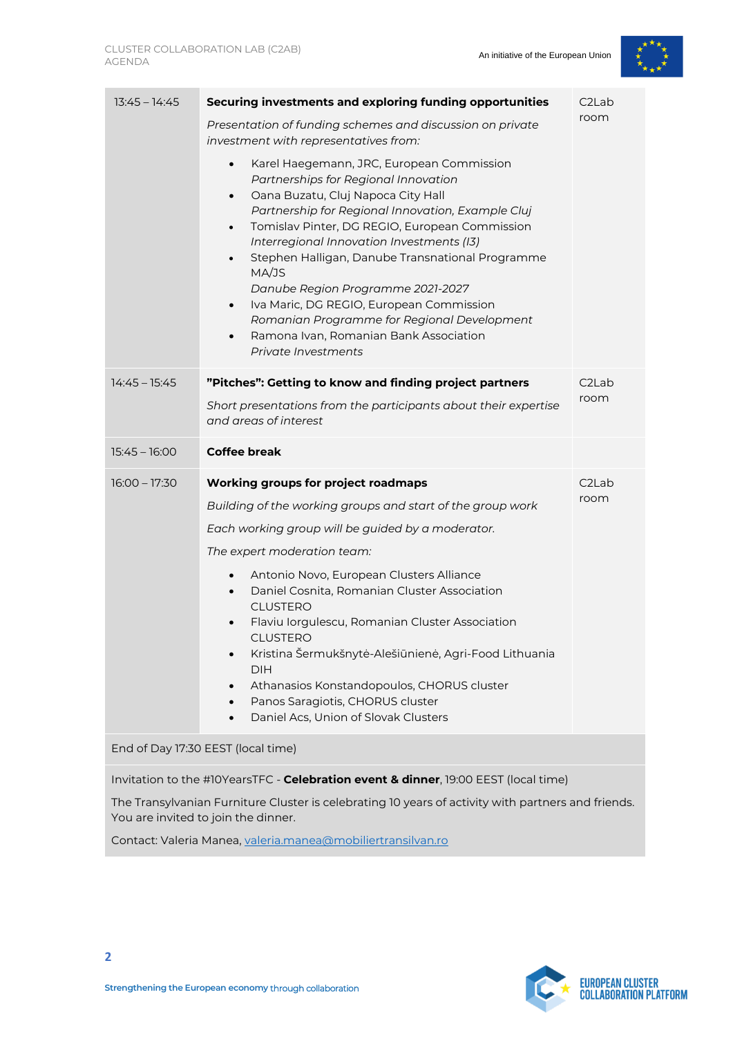

| $13:45 - 14:45$ | Securing investments and exploring funding opportunities<br>Presentation of funding schemes and discussion on private<br>investment with representatives from:<br>Karel Haegemann, JRC, European Commission<br>$\bullet$<br>Partnerships for Regional Innovation<br>Oana Buzatu, Cluj Napoca City Hall<br>$\bullet$<br>Partnership for Regional Innovation, Example Cluj<br>Tomislav Pinter, DG REGIO, European Commission<br>$\bullet$<br>Interregional Innovation Investments (I3)<br>Stephen Halligan, Danube Transnational Programme<br>$\bullet$<br>MA/JS<br>Danube Region Programme 2021-2027<br>Iva Maric, DG REGIO, European Commission<br>$\bullet$<br>Romanian Programme for Regional Development<br>Ramona Ivan, Romanian Bank Association<br>$\bullet$<br>Private Investments | C <sub>2</sub> Lab<br>room |
|-----------------|-------------------------------------------------------------------------------------------------------------------------------------------------------------------------------------------------------------------------------------------------------------------------------------------------------------------------------------------------------------------------------------------------------------------------------------------------------------------------------------------------------------------------------------------------------------------------------------------------------------------------------------------------------------------------------------------------------------------------------------------------------------------------------------------|----------------------------|
| $14:45 - 15:45$ | "Pitches": Getting to know and finding project partners<br>Short presentations from the participants about their expertise<br>and areas of interest                                                                                                                                                                                                                                                                                                                                                                                                                                                                                                                                                                                                                                       | C <sub>2</sub> Lab<br>room |
| $15:45 - 16:00$ | Coffee break                                                                                                                                                                                                                                                                                                                                                                                                                                                                                                                                                                                                                                                                                                                                                                              |                            |
| $16:00 - 17:30$ | <b>Working groups for project roadmaps</b><br>Building of the working groups and start of the group work<br>Each working group will be guided by a moderator.<br>The expert moderation team:<br>Antonio Novo, European Clusters Alliance<br>$\bullet$<br>Daniel Cosnita, Romanian Cluster Association<br><b>CLUSTERO</b><br>Flaviu Iorgulescu, Romanian Cluster Association<br>$\bullet$                                                                                                                                                                                                                                                                                                                                                                                                  | C <sub>2</sub> Lab<br>room |
|                 | <b>CLUSTERO</b><br>Kristina Šermukšnytė-Alešiūnienė, Agri-Food Lithuania<br><b>DIH</b><br>Athanasios Konstandopoulos, CHORUS cluster<br>Panos Saragiotis, CHORUS cluster<br>Daniel Acs, Union of Slovak Clusters                                                                                                                                                                                                                                                                                                                                                                                                                                                                                                                                                                          |                            |
|                 | End of Day 17:30 EEST (local time)                                                                                                                                                                                                                                                                                                                                                                                                                                                                                                                                                                                                                                                                                                                                                        |                            |

The Transylvanian Furniture Cluster is celebrating 10 years of activity with partners and friends. You are invited to join the dinner.

Contact: Valeria Manea, [valeria.manea@mobiliertransilvan.ro](mailto:valeria.manea@mobiliertransilvan.ro)